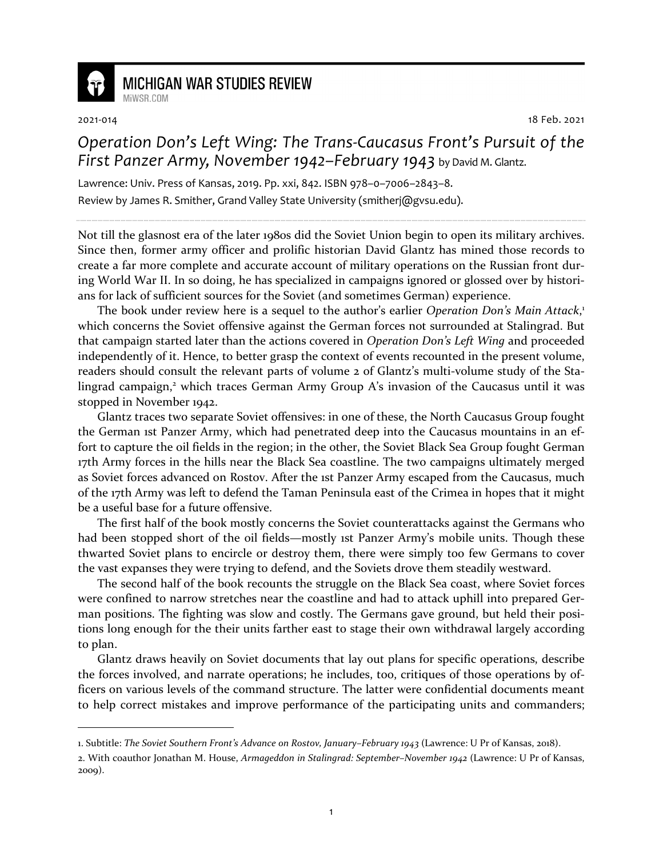

## **MICHIGAN WAR STUDIES REVIEW** MiWSR COM

2021-014 18 Feb. 2021

## *Operation Don's Left Wing: The Trans-Caucasus Front's Pursuit of the First Panzer Army, November 1942–February 1943* by David M. Glantz.

Lawrence: Univ. Press of Kansas, 2019. Pp. xxi, 842. ISBN 978–0–7006–2843–8. Review by James R. Smither, Grand Valley State University (smitherj@gvsu.edu).

Not till the glasnost era of the later 1980s did the Soviet Union begin to open its military archives. Since then, former army officer and prolific historian David Glantz has mined those records to create a far more complete and accurate account of military operations on the Russian front during World War II. In so doing, he has specialized in campaigns ignored or glossed over by historians for lack of sufficient sources for the Soviet (and sometimes German) experience.

The book under review here is a sequel to the author's earlier *Operation Don's Main Attack*, 1 which concerns the Soviet offensive against the German forces not surrounded at Stalingrad. But that campaign started later than the actions covered in *Operation Don's Left Wing* and proceeded independently of it. Hence, to better grasp the context of events recounted in the present volume, readers should consult the relevant parts of volume 2 of Glantz's multi-volume study of the Stalingrad campaign,<sup>2</sup> which traces German Army Group A's invasion of the Caucasus until it was stopped in November 1942.

Glantz traces two separate Soviet offensives: in one of these, the North Caucasus Group fought the German 1st Panzer Army, which had penetrated deep into the Caucasus mountains in an effort to capture the oil fields in the region; in the other, the Soviet Black Sea Group fought German 17th Army forces in the hills near the Black Sea coastline. The two campaigns ultimately merged as Soviet forces advanced on Rostov. After the 1st Panzer Army escaped from the Caucasus, much of the 17th Army was left to defend the Taman Peninsula east of the Crimea in hopes that it might be a useful base for a future offensive.

The first half of the book mostly concerns the Soviet counterattacks against the Germans who had been stopped short of the oil fields—mostly ist Panzer Army's mobile units. Though these thwarted Soviet plans to encircle or destroy them, there were simply too few Germans to cover the vast expanses they were trying to defend, and the Soviets drove them steadily westward.

The second half of the book recounts the struggle on the Black Sea coast, where Soviet forces were confined to narrow stretches near the coastline and had to attack uphill into prepared German positions. The fighting was slow and costly. The Germans gave ground, but held their positions long enough for the their units farther east to stage their own withdrawal largely according to plan.

Glantz draws heavily on Soviet documents that lay out plans for specific operations, describe the forces involved, and narrate operations; he includes, too, critiques of those operations by officers on various levels of the command structure. The latter were confidential documents meant to help correct mistakes and improve performance of the participating units and commanders;

<sup>1.</sup> Subtitle: *The Soviet Southern Front's Advance on Rostov, January–February 1943* (Lawrence: U Pr of Kansas, 2018).

<sup>2.</sup> With coauthor Jonathan M. House, *Armageddon in Stalingrad: September–November 1942* (Lawrence: U Pr of Kansas, 2009).